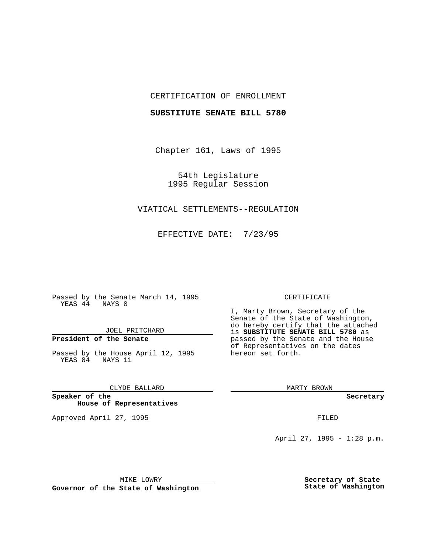## CERTIFICATION OF ENROLLMENT

### **SUBSTITUTE SENATE BILL 5780**

Chapter 161, Laws of 1995

54th Legislature 1995 Regular Session

## VIATICAL SETTLEMENTS--REGULATION

EFFECTIVE DATE: 7/23/95

Passed by the Senate March 14, 1995 YEAS 44 NAYS 0

JOEL PRITCHARD

# **President of the Senate**

Passed by the House April 12, 1995 YEAS 84 NAYS 11

CLYDE BALLARD

**Speaker of the House of Representatives**

Approved April 27, 1995 FILED

#### CERTIFICATE

I, Marty Brown, Secretary of the Senate of the State of Washington, do hereby certify that the attached is **SUBSTITUTE SENATE BILL 5780** as passed by the Senate and the House of Representatives on the dates hereon set forth.

MARTY BROWN

**Secretary**

April 27, 1995 - 1:28 p.m.

MIKE LOWRY

**Governor of the State of Washington**

**Secretary of State State of Washington**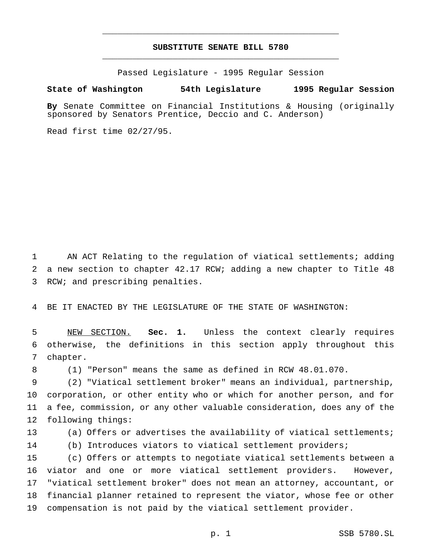## **SUBSTITUTE SENATE BILL 5780** \_\_\_\_\_\_\_\_\_\_\_\_\_\_\_\_\_\_\_\_\_\_\_\_\_\_\_\_\_\_\_\_\_\_\_\_\_\_\_\_\_\_\_\_\_\_\_

\_\_\_\_\_\_\_\_\_\_\_\_\_\_\_\_\_\_\_\_\_\_\_\_\_\_\_\_\_\_\_\_\_\_\_\_\_\_\_\_\_\_\_\_\_\_\_

Passed Legislature - 1995 Regular Session

#### **State of Washington 54th Legislature 1995 Regular Session**

**By** Senate Committee on Financial Institutions & Housing (originally sponsored by Senators Prentice, Deccio and C. Anderson)

Read first time 02/27/95.

 AN ACT Relating to the regulation of viatical settlements; adding a new section to chapter 42.17 RCW; adding a new chapter to Title 48 RCW; and prescribing penalties.

BE IT ENACTED BY THE LEGISLATURE OF THE STATE OF WASHINGTON:

 NEW SECTION. **Sec. 1.** Unless the context clearly requires otherwise, the definitions in this section apply throughout this chapter.

(1) "Person" means the same as defined in RCW 48.01.070.

 (2) "Viatical settlement broker" means an individual, partnership, corporation, or other entity who or which for another person, and for a fee, commission, or any other valuable consideration, does any of the following things:

(a) Offers or advertises the availability of viatical settlements;

(b) Introduces viators to viatical settlement providers;

 (c) Offers or attempts to negotiate viatical settlements between a viator and one or more viatical settlement providers. However, "viatical settlement broker" does not mean an attorney, accountant, or financial planner retained to represent the viator, whose fee or other compensation is not paid by the viatical settlement provider.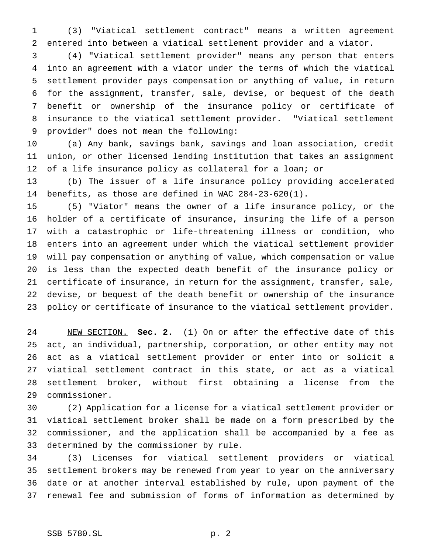(3) "Viatical settlement contract" means a written agreement entered into between a viatical settlement provider and a viator.

 (4) "Viatical settlement provider" means any person that enters into an agreement with a viator under the terms of which the viatical settlement provider pays compensation or anything of value, in return for the assignment, transfer, sale, devise, or bequest of the death benefit or ownership of the insurance policy or certificate of insurance to the viatical settlement provider. "Viatical settlement provider" does not mean the following:

 (a) Any bank, savings bank, savings and loan association, credit union, or other licensed lending institution that takes an assignment of a life insurance policy as collateral for a loan; or

 (b) The issuer of a life insurance policy providing accelerated benefits, as those are defined in WAC 284-23-620(1).

 (5) "Viator" means the owner of a life insurance policy, or the holder of a certificate of insurance, insuring the life of a person with a catastrophic or life-threatening illness or condition, who enters into an agreement under which the viatical settlement provider will pay compensation or anything of value, which compensation or value is less than the expected death benefit of the insurance policy or certificate of insurance, in return for the assignment, transfer, sale, devise, or bequest of the death benefit or ownership of the insurance policy or certificate of insurance to the viatical settlement provider.

 NEW SECTION. **Sec. 2.** (1) On or after the effective date of this act, an individual, partnership, corporation, or other entity may not act as a viatical settlement provider or enter into or solicit a viatical settlement contract in this state, or act as a viatical settlement broker, without first obtaining a license from the commissioner.

 (2) Application for a license for a viatical settlement provider or viatical settlement broker shall be made on a form prescribed by the commissioner, and the application shall be accompanied by a fee as determined by the commissioner by rule.

 (3) Licenses for viatical settlement providers or viatical settlement brokers may be renewed from year to year on the anniversary date or at another interval established by rule, upon payment of the renewal fee and submission of forms of information as determined by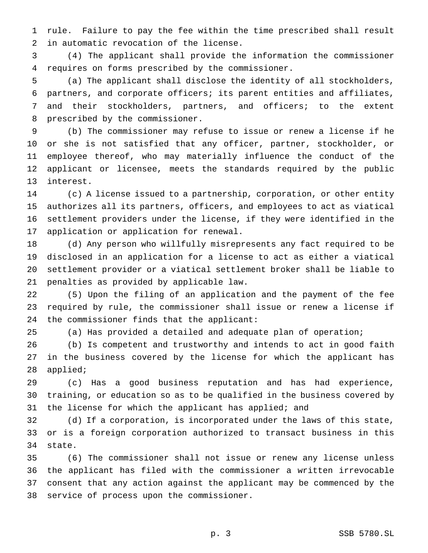rule. Failure to pay the fee within the time prescribed shall result in automatic revocation of the license.

 (4) The applicant shall provide the information the commissioner requires on forms prescribed by the commissioner.

 (a) The applicant shall disclose the identity of all stockholders, partners, and corporate officers; its parent entities and affiliates, and their stockholders, partners, and officers; to the extent prescribed by the commissioner.

 (b) The commissioner may refuse to issue or renew a license if he or she is not satisfied that any officer, partner, stockholder, or employee thereof, who may materially influence the conduct of the applicant or licensee, meets the standards required by the public interest.

 (c) A license issued to a partnership, corporation, or other entity authorizes all its partners, officers, and employees to act as viatical settlement providers under the license, if they were identified in the application or application for renewal.

 (d) Any person who willfully misrepresents any fact required to be disclosed in an application for a license to act as either a viatical settlement provider or a viatical settlement broker shall be liable to penalties as provided by applicable law.

 (5) Upon the filing of an application and the payment of the fee required by rule, the commissioner shall issue or renew a license if the commissioner finds that the applicant:

(a) Has provided a detailed and adequate plan of operation;

 (b) Is competent and trustworthy and intends to act in good faith in the business covered by the license for which the applicant has applied;

 (c) Has a good business reputation and has had experience, training, or education so as to be qualified in the business covered by 31 the license for which the applicant has applied; and

 (d) If a corporation, is incorporated under the laws of this state, or is a foreign corporation authorized to transact business in this state.

 (6) The commissioner shall not issue or renew any license unless the applicant has filed with the commissioner a written irrevocable consent that any action against the applicant may be commenced by the service of process upon the commissioner.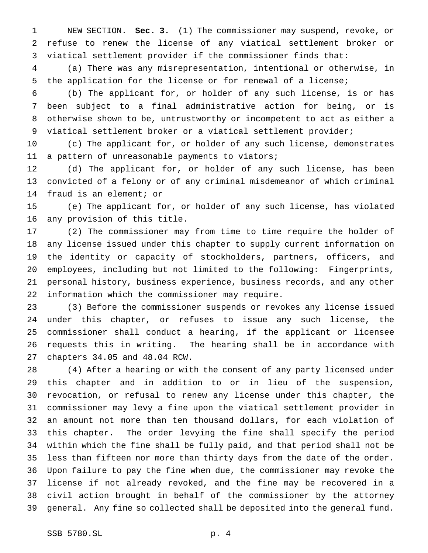NEW SECTION. **Sec. 3.** (1) The commissioner may suspend, revoke, or refuse to renew the license of any viatical settlement broker or viatical settlement provider if the commissioner finds that:

 (a) There was any misrepresentation, intentional or otherwise, in the application for the license or for renewal of a license;

 (b) The applicant for, or holder of any such license, is or has been subject to a final administrative action for being, or is otherwise shown to be, untrustworthy or incompetent to act as either a viatical settlement broker or a viatical settlement provider;

 (c) The applicant for, or holder of any such license, demonstrates 11 a pattern of unreasonable payments to viators;

 (d) The applicant for, or holder of any such license, has been convicted of a felony or of any criminal misdemeanor of which criminal fraud is an element; or

 (e) The applicant for, or holder of any such license, has violated any provision of this title.

 (2) The commissioner may from time to time require the holder of any license issued under this chapter to supply current information on the identity or capacity of stockholders, partners, officers, and employees, including but not limited to the following: Fingerprints, personal history, business experience, business records, and any other information which the commissioner may require.

 (3) Before the commissioner suspends or revokes any license issued under this chapter, or refuses to issue any such license, the commissioner shall conduct a hearing, if the applicant or licensee requests this in writing. The hearing shall be in accordance with chapters 34.05 and 48.04 RCW.

 (4) After a hearing or with the consent of any party licensed under this chapter and in addition to or in lieu of the suspension, revocation, or refusal to renew any license under this chapter, the commissioner may levy a fine upon the viatical settlement provider in an amount not more than ten thousand dollars, for each violation of this chapter. The order levying the fine shall specify the period within which the fine shall be fully paid, and that period shall not be less than fifteen nor more than thirty days from the date of the order. Upon failure to pay the fine when due, the commissioner may revoke the license if not already revoked, and the fine may be recovered in a civil action brought in behalf of the commissioner by the attorney general. Any fine so collected shall be deposited into the general fund.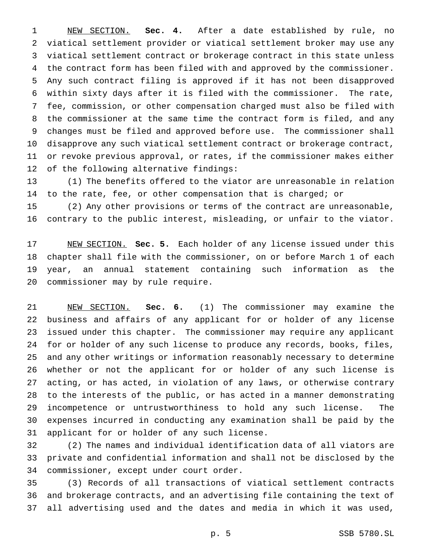NEW SECTION. **Sec. 4.** After a date established by rule, no viatical settlement provider or viatical settlement broker may use any viatical settlement contract or brokerage contract in this state unless the contract form has been filed with and approved by the commissioner. Any such contract filing is approved if it has not been disapproved within sixty days after it is filed with the commissioner. The rate, fee, commission, or other compensation charged must also be filed with the commissioner at the same time the contract form is filed, and any changes must be filed and approved before use. The commissioner shall disapprove any such viatical settlement contract or brokerage contract, or revoke previous approval, or rates, if the commissioner makes either of the following alternative findings:

 (1) The benefits offered to the viator are unreasonable in relation to the rate, fee, or other compensation that is charged; or

 (2) Any other provisions or terms of the contract are unreasonable, contrary to the public interest, misleading, or unfair to the viator.

 NEW SECTION. **Sec. 5.** Each holder of any license issued under this chapter shall file with the commissioner, on or before March 1 of each year, an annual statement containing such information as the commissioner may by rule require.

 NEW SECTION. **Sec. 6.** (1) The commissioner may examine the business and affairs of any applicant for or holder of any license issued under this chapter. The commissioner may require any applicant for or holder of any such license to produce any records, books, files, and any other writings or information reasonably necessary to determine whether or not the applicant for or holder of any such license is acting, or has acted, in violation of any laws, or otherwise contrary to the interests of the public, or has acted in a manner demonstrating incompetence or untrustworthiness to hold any such license. The expenses incurred in conducting any examination shall be paid by the applicant for or holder of any such license.

 (2) The names and individual identification data of all viators are private and confidential information and shall not be disclosed by the commissioner, except under court order.

 (3) Records of all transactions of viatical settlement contracts and brokerage contracts, and an advertising file containing the text of all advertising used and the dates and media in which it was used,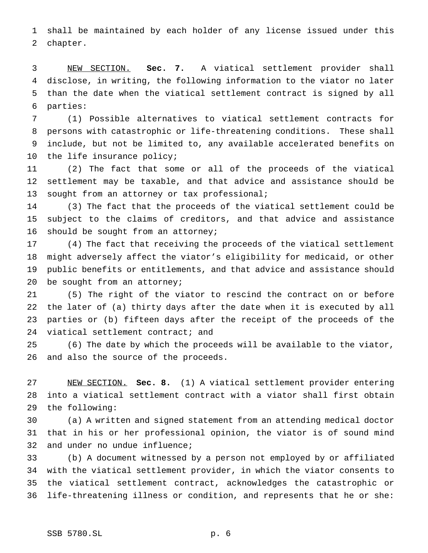shall be maintained by each holder of any license issued under this chapter.

 NEW SECTION. **Sec. 7.** A viatical settlement provider shall disclose, in writing, the following information to the viator no later than the date when the viatical settlement contract is signed by all parties:

 (1) Possible alternatives to viatical settlement contracts for persons with catastrophic or life-threatening conditions. These shall include, but not be limited to, any available accelerated benefits on the life insurance policy;

 (2) The fact that some or all of the proceeds of the viatical settlement may be taxable, and that advice and assistance should be 13 sought from an attorney or tax professional;

 (3) The fact that the proceeds of the viatical settlement could be subject to the claims of creditors, and that advice and assistance should be sought from an attorney;

 (4) The fact that receiving the proceeds of the viatical settlement might adversely affect the viator's eligibility for medicaid, or other public benefits or entitlements, and that advice and assistance should 20 be sought from an attorney;

 (5) The right of the viator to rescind the contract on or before the later of (a) thirty days after the date when it is executed by all parties or (b) fifteen days after the receipt of the proceeds of the viatical settlement contract; and

 (6) The date by which the proceeds will be available to the viator, and also the source of the proceeds.

 NEW SECTION. **Sec. 8.** (1) A viatical settlement provider entering into a viatical settlement contract with a viator shall first obtain the following:

 (a) A written and signed statement from an attending medical doctor that in his or her professional opinion, the viator is of sound mind and under no undue influence;

 (b) A document witnessed by a person not employed by or affiliated with the viatical settlement provider, in which the viator consents to the viatical settlement contract, acknowledges the catastrophic or life-threatening illness or condition, and represents that he or she: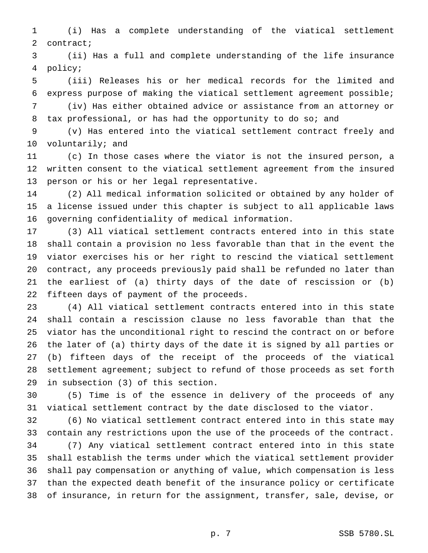(i) Has a complete understanding of the viatical settlement contract;

 (ii) Has a full and complete understanding of the life insurance policy;

 (iii) Releases his or her medical records for the limited and express purpose of making the viatical settlement agreement possible;

 (iv) Has either obtained advice or assistance from an attorney or tax professional, or has had the opportunity to do so; and

 (v) Has entered into the viatical settlement contract freely and voluntarily; and

 (c) In those cases where the viator is not the insured person, a written consent to the viatical settlement agreement from the insured person or his or her legal representative.

 (2) All medical information solicited or obtained by any holder of a license issued under this chapter is subject to all applicable laws governing confidentiality of medical information.

 (3) All viatical settlement contracts entered into in this state shall contain a provision no less favorable than that in the event the viator exercises his or her right to rescind the viatical settlement contract, any proceeds previously paid shall be refunded no later than the earliest of (a) thirty days of the date of rescission or (b) fifteen days of payment of the proceeds.

 (4) All viatical settlement contracts entered into in this state shall contain a rescission clause no less favorable than that the viator has the unconditional right to rescind the contract on or before the later of (a) thirty days of the date it is signed by all parties or (b) fifteen days of the receipt of the proceeds of the viatical settlement agreement; subject to refund of those proceeds as set forth in subsection (3) of this section.

 (5) Time is of the essence in delivery of the proceeds of any viatical settlement contract by the date disclosed to the viator.

 (6) No viatical settlement contract entered into in this state may contain any restrictions upon the use of the proceeds of the contract. (7) Any viatical settlement contract entered into in this state shall establish the terms under which the viatical settlement provider shall pay compensation or anything of value, which compensation is less than the expected death benefit of the insurance policy or certificate

of insurance, in return for the assignment, transfer, sale, devise, or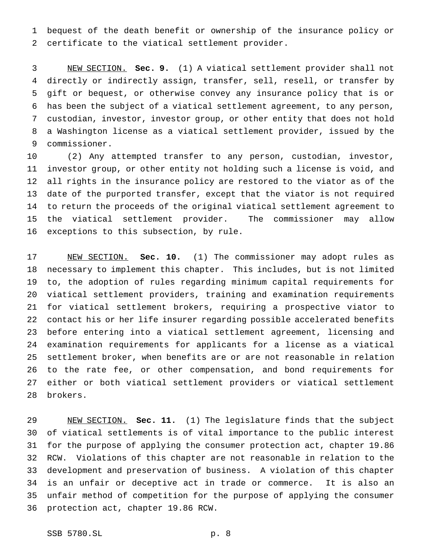bequest of the death benefit or ownership of the insurance policy or certificate to the viatical settlement provider.

 NEW SECTION. **Sec. 9.** (1) A viatical settlement provider shall not directly or indirectly assign, transfer, sell, resell, or transfer by gift or bequest, or otherwise convey any insurance policy that is or has been the subject of a viatical settlement agreement, to any person, custodian, investor, investor group, or other entity that does not hold a Washington license as a viatical settlement provider, issued by the commissioner.

 (2) Any attempted transfer to any person, custodian, investor, investor group, or other entity not holding such a license is void, and all rights in the insurance policy are restored to the viator as of the date of the purported transfer, except that the viator is not required to return the proceeds of the original viatical settlement agreement to the viatical settlement provider. The commissioner may allow exceptions to this subsection, by rule.

 NEW SECTION. **Sec. 10.** (1) The commissioner may adopt rules as necessary to implement this chapter. This includes, but is not limited to, the adoption of rules regarding minimum capital requirements for viatical settlement providers, training and examination requirements for viatical settlement brokers, requiring a prospective viator to contact his or her life insurer regarding possible accelerated benefits before entering into a viatical settlement agreement, licensing and examination requirements for applicants for a license as a viatical settlement broker, when benefits are or are not reasonable in relation to the rate fee, or other compensation, and bond requirements for either or both viatical settlement providers or viatical settlement brokers.

 NEW SECTION. **Sec. 11.** (1) The legislature finds that the subject of viatical settlements is of vital importance to the public interest for the purpose of applying the consumer protection act, chapter 19.86 RCW. Violations of this chapter are not reasonable in relation to the development and preservation of business. A violation of this chapter is an unfair or deceptive act in trade or commerce. It is also an unfair method of competition for the purpose of applying the consumer protection act, chapter 19.86 RCW.